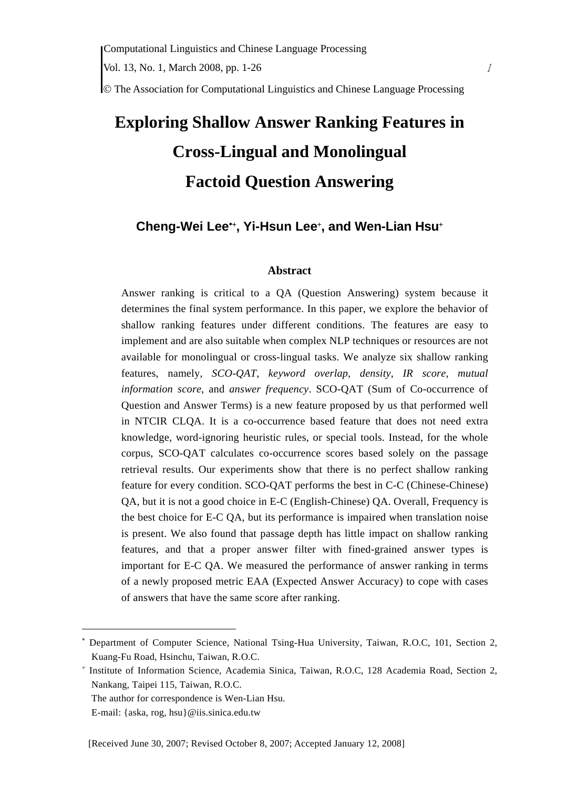© The Association for Computational Linguistics and Chinese Language Processing

# **Exploring Shallow Answer Ranking Features in Cross-Lingual and Monolingual Factoid Question Answering**

# **Cheng-Wei Lee**∗+**, Yi-Hsun Lee**<sup>+</sup> **, and Wen-Lian Hsu**<sup>+</sup>

#### **Abstract**

Answer ranking is critical to a QA (Question Answering) system because it determines the final system performance. In this paper, we explore the behavior of shallow ranking features under different conditions. The features are easy to implement and are also suitable when complex NLP techniques or resources are not available for monolingual or cross-lingual tasks. We analyze six shallow ranking features, namely, *SCO-QAT*, *keyword overlap*, *density*, *IR score*, *mutual information score*, and *answer frequency*. SCO-QAT (Sum of Co-occurrence of Question and Answer Terms) is a new feature proposed by us that performed well in NTCIR CLQA. It is a co-occurrence based feature that does not need extra knowledge, word-ignoring heuristic rules, or special tools. Instead, for the whole corpus, SCO-QAT calculates co-occurrence scores based solely on the passage retrieval results. Our experiments show that there is no perfect shallow ranking feature for every condition. SCO-QAT performs the best in C-C (Chinese-Chinese) QA, but it is not a good choice in E-C (English-Chinese) QA. Overall, Frequency is the best choice for E-C QA, but its performance is impaired when translation noise is present. We also found that passage depth has little impact on shallow ranking features, and that a proper answer filter with fined-grained answer types is important for E-C QA. We measured the performance of answer ranking in terms of a newly proposed metric EAA (Expected Answer Accuracy) to cope with cases of answers that have the same score after ranking.

<sup>∗</sup> Department of Computer Science, National Tsing-Hua University, Taiwan, R.O.C, 101, Section 2, Kuang-Fu Road, Hsinchu, Taiwan, R.O.C.

<sup>+</sup> Institute of Information Science, Academia Sinica, Taiwan, R.O.C, 128 Academia Road, Section 2, Nankang, Taipei 115, Taiwan, R.O.C.

The author for correspondence is Wen-Lian Hsu.

E-mail: {aska, rog, hsu}@iis.sinica.edu.tw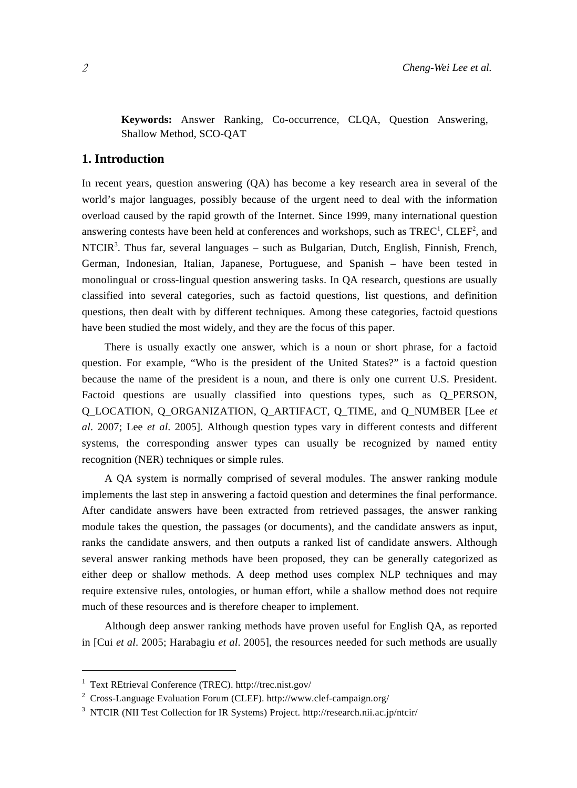**Keywords:** Answer Ranking, Co-occurrence, CLQA, Question Answering, Shallow Method, SCO-QAT

## **1. Introduction**

In recent years, question answering (QA) has become a key research area in several of the world's major languages, possibly because of the urgent need to deal with the information overload caused by the rapid growth of the Internet. Since 1999, many international question answering contests have been held at conferences and workshops, such as  $TREC^1$ ,  $CDEF^2$ , and  $NTCIR<sup>3</sup>$ . Thus far, several languages – such as Bulgarian, Dutch, English, Finnish, French, German, Indonesian, Italian, Japanese, Portuguese, and Spanish – have been tested in monolingual or cross-lingual question answering tasks. In QA research, questions are usually classified into several categories, such as factoid questions, list questions, and definition questions, then dealt with by different techniques. Among these categories, factoid questions have been studied the most widely, and they are the focus of this paper.

There is usually exactly one answer, which is a noun or short phrase, for a factoid question. For example, "Who is the president of the United States?" is a factoid question because the name of the president is a noun, and there is only one current U.S. President. Factoid questions are usually classified into questions types, such as O\_PERSON, Q\_LOCATION, Q\_ORGANIZATION, Q\_ARTIFACT, Q\_TIME, and Q\_NUMBER [Lee *et al*. 2007; Lee *et al*. 2005]. Although question types vary in different contests and different systems, the corresponding answer types can usually be recognized by named entity recognition (NER) techniques or simple rules.

A QA system is normally comprised of several modules. The answer ranking module implements the last step in answering a factoid question and determines the final performance. After candidate answers have been extracted from retrieved passages, the answer ranking module takes the question, the passages (or documents), and the candidate answers as input, ranks the candidate answers, and then outputs a ranked list of candidate answers. Although several answer ranking methods have been proposed, they can be generally categorized as either deep or shallow methods. A deep method uses complex NLP techniques and may require extensive rules, ontologies, or human effort, while a shallow method does not require much of these resources and is therefore cheaper to implement.

Although deep answer ranking methods have proven useful for English QA, as reported in [Cui *et al*. 2005; Harabagiu *et al*. 2005], the resources needed for such methods are usually

<sup>1</sup> Text REtrieval Conference (TREC). http://trec.nist.gov/

<sup>&</sup>lt;sup>2</sup> Cross-Language Evaluation Forum (CLEF). http://www.clef-campaign.org/

<sup>&</sup>lt;sup>3</sup> NTCIR (NII Test Collection for IR Systems) Project. http://research.nii.ac.jp/ntcir/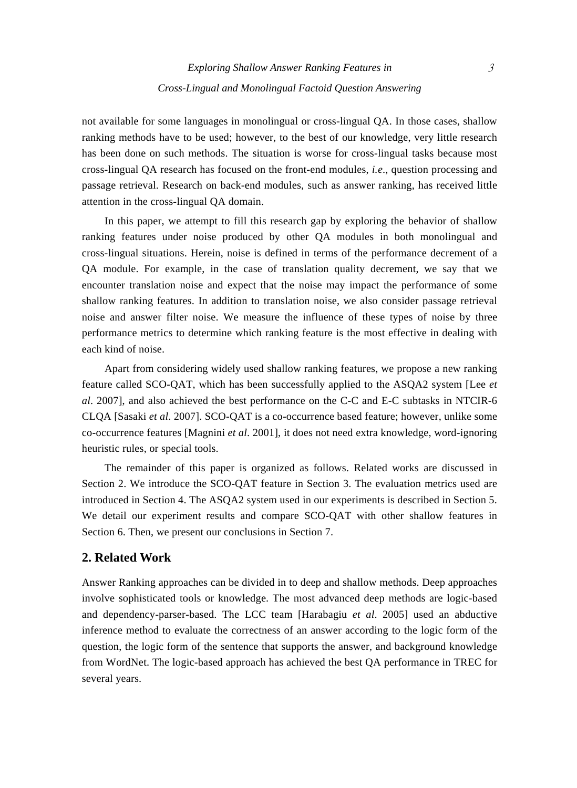not available for some languages in monolingual or cross-lingual QA. In those cases, shallow ranking methods have to be used; however, to the best of our knowledge, very little research has been done on such methods. The situation is worse for cross-lingual tasks because most cross-lingual QA research has focused on the front-end modules, *i.e*., question processing and passage retrieval. Research on back-end modules, such as answer ranking, has received little attention in the cross-lingual QA domain.

In this paper, we attempt to fill this research gap by exploring the behavior of shallow ranking features under noise produced by other QA modules in both monolingual and cross-lingual situations. Herein, noise is defined in terms of the performance decrement of a QA module. For example, in the case of translation quality decrement, we say that we encounter translation noise and expect that the noise may impact the performance of some shallow ranking features. In addition to translation noise, we also consider passage retrieval noise and answer filter noise. We measure the influence of these types of noise by three performance metrics to determine which ranking feature is the most effective in dealing with each kind of noise.

Apart from considering widely used shallow ranking features, we propose a new ranking feature called SCO-QAT, which has been successfully applied to the ASQA2 system [Lee *et al*. 2007], and also achieved the best performance on the C-C and E-C subtasks in NTCIR-6 CLQA [Sasaki *et al*. 2007]. SCO-QAT is a co-occurrence based feature; however, unlike some co-occurrence features [Magnini *et al*. 2001], it does not need extra knowledge, word-ignoring heuristic rules, or special tools.

The remainder of this paper is organized as follows. Related works are discussed in Section 2. We introduce the SCO-QAT feature in Section 3. The evaluation metrics used are introduced in Section 4. The ASQA2 system used in our experiments is described in Section 5. We detail our experiment results and compare SCO-QAT with other shallow features in Section 6. Then, we present our conclusions in Section 7.

# **2. Related Work**

Answer Ranking approaches can be divided in to deep and shallow methods. Deep approaches involve sophisticated tools or knowledge. The most advanced deep methods are logic-based and dependency-parser-based. The LCC team [Harabagiu *et al*. 2005] used an abductive inference method to evaluate the correctness of an answer according to the logic form of the question, the logic form of the sentence that supports the answer, and background knowledge from WordNet. The logic-based approach has achieved the best QA performance in TREC for several years.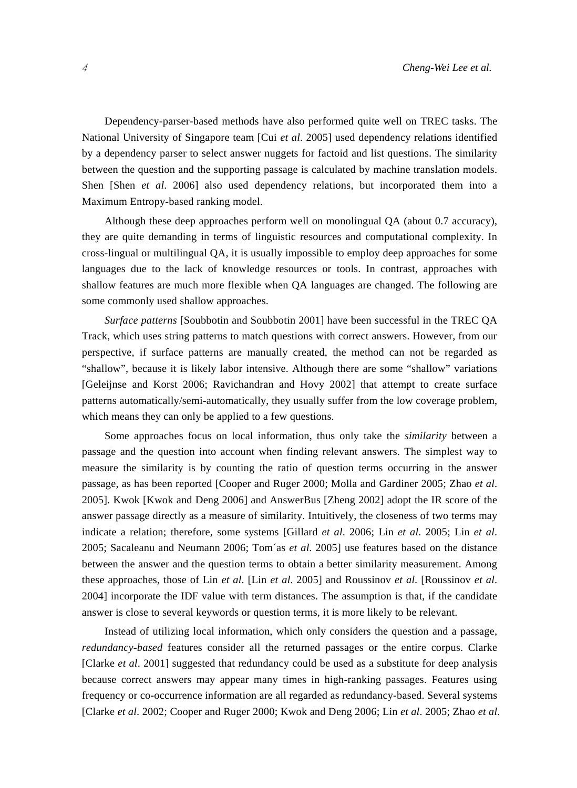Dependency-parser-based methods have also performed quite well on TREC tasks. The National University of Singapore team [Cui *et al*. 2005] used dependency relations identified by a dependency parser to select answer nuggets for factoid and list questions. The similarity between the question and the supporting passage is calculated by machine translation models. Shen [Shen *et al*. 2006] also used dependency relations, but incorporated them into a Maximum Entropy-based ranking model.

Although these deep approaches perform well on monolingual QA (about 0.7 accuracy), they are quite demanding in terms of linguistic resources and computational complexity. In cross-lingual or multilingual QA, it is usually impossible to employ deep approaches for some languages due to the lack of knowledge resources or tools. In contrast, approaches with shallow features are much more flexible when QA languages are changed. The following are some commonly used shallow approaches.

*Surface patterns* [Soubbotin and Soubbotin 2001] have been successful in the TREC QA Track, which uses string patterns to match questions with correct answers. However, from our perspective, if surface patterns are manually created, the method can not be regarded as "shallow", because it is likely labor intensive. Although there are some "shallow" variations [Geleijnse and Korst 2006; Ravichandran and Hovy 2002] that attempt to create surface patterns automatically/semi-automatically, they usually suffer from the low coverage problem, which means they can only be applied to a few questions.

Some approaches focus on local information, thus only take the *similarity* between a passage and the question into account when finding relevant answers. The simplest way to measure the similarity is by counting the ratio of question terms occurring in the answer passage, as has been reported [Cooper and Ruger 2000; Molla and Gardiner 2005; Zhao *et al*. 2005]. Kwok [Kwok and Deng 2006] and AnswerBus [Zheng 2002] adopt the IR score of the answer passage directly as a measure of similarity. Intuitively, the closeness of two terms may indicate a relation; therefore, some systems [Gillard *et al*. 2006; Lin *et al*. 2005; Lin *et al*. 2005; Sacaleanu and Neumann 2006; Tom´as *et al*. 2005] use features based on the distance between the answer and the question terms to obtain a better similarity measurement. Among these approaches, those of Lin *et al*. [Lin *et al*. 2005] and Roussinov *et al*. [Roussinov *et al*. 2004] incorporate the IDF value with term distances. The assumption is that, if the candidate answer is close to several keywords or question terms, it is more likely to be relevant.

Instead of utilizing local information, which only considers the question and a passage, *redundancy-based* features consider all the returned passages or the entire corpus. Clarke [Clarke *et al*. 2001] suggested that redundancy could be used as a substitute for deep analysis because correct answers may appear many times in high-ranking passages. Features using frequency or co-occurrence information are all regarded as redundancy-based. Several systems [Clarke *et al*. 2002; Cooper and Ruger 2000; Kwok and Deng 2006; Lin *et al*. 2005; Zhao *et al*.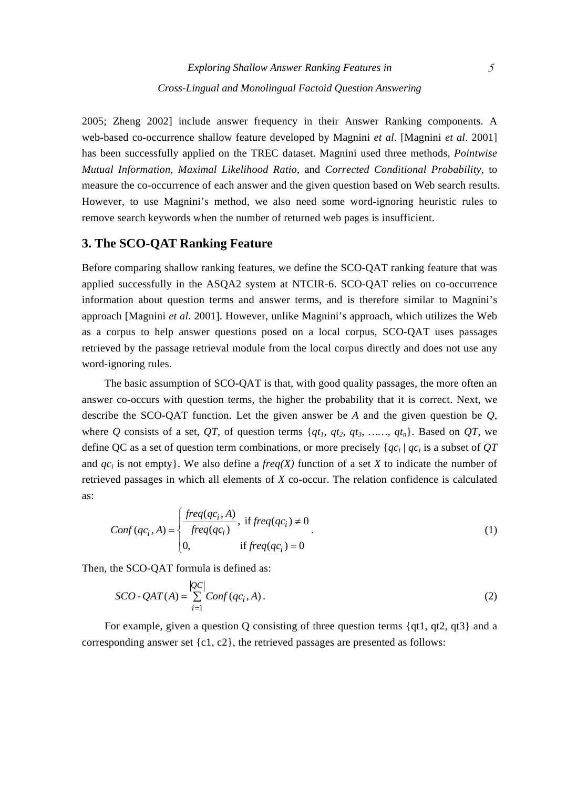2005; Zheng 2002] include answer frequency in their Answer Ranking components. A web-based co-occurrence shallow feature developed by Magnini *et al*. [Magnini *et al*. 2001] has been successfully applied on the TREC dataset. Magnini used three methods, *Pointwise Mutual Information*, *Maximal Likelihood Ratio*, and *Corrected Conditional Probability*, to measure the co-occurrence of each answer and the given question based on Web search results. However, to use Magnini's method, we also need some word-ignoring heuristic rules to remove search keywords when the number of returned web pages is insufficient.

## **3. The SCO-QAT Ranking Feature**

Before comparing shallow ranking features, we define the SCO-QAT ranking feature that was applied successfully in the ASQA2 system at NTCIR-6. SCO-QAT relies on co-occurrence information about question terms and answer terms, and is therefore similar to Magnini's approach [Magnini *et al*. 2001]. However, unlike Magnini's approach, which utilizes the Web as a corpus to help answer questions posed on a local corpus, SCO-QAT uses passages retrieved by the passage retrieval module from the local corpus directly and does not use any word-ignoring rules.

The basic assumption of SCO-QAT is that, with good quality passages, the more often an answer co-occurs with question terms, the higher the probability that it is correct. Next, we describe the SCO-QAT function. Let the given answer be *A* and the given question be *Q*, where *Q* consists of a set, *QT*, of question terms  $\{qt_1, qt_2, qt_3, \ldots, qt_n\}$ . Based on *QT*, we define QC as a set of question term combinations, or more precisely {*qci* | *qci* is a subset of *QT* and  $qc_i$  is not empty. We also define a *freq(X)* function of a set *X* to indicate the number of retrieved passages in which all elements of *X* co-occur. The relation confidence is calculated as:

$$
Conf(qc_i, A) = \begin{cases} \frac{freq(qc_i, A)}{freq(qc_i)}, & \text{if } freq(qc_i) \neq 0\\ 0, & \text{if } freq(qc_i) = 0 \end{cases}
$$
(1)

Then, the SCO-QAT formula is defined as:

$$
SCO \cdot QAT(A) = \sum_{i=1}^{|QC|} Conf(qc_i, A).
$$
 (2)

For example, given a question Q consisting of three question terms {qt1, qt2, qt3} and a corresponding answer set  $\{c1, c2\}$ , the retrieved passages are presented as follows: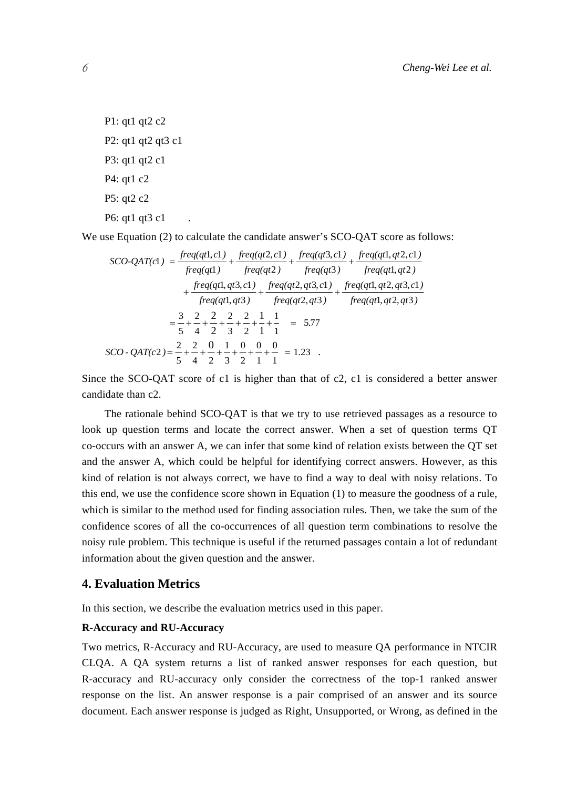P1: qt1 qt2 c2 P2: qt1 qt2 qt3 c1 P3: qt1 qt2 c1 P4: qt1 c2 P5: qt2 c2 P6: qt1 qt3 c1

We use Equation (2) to calculate the candidate answer's SCO-QAT score as follows:

$$
SCO\text{-QAT}(c1) = \frac{freq(qt1, c1)}{freq(qt1)} + \frac{freq(qt2, c1)}{freq(qt2)} + \frac{freq(qt3, c1)}{freq(qt3)} + \frac{freq(qt1, qt2, c1)}{freq(qt1, qt2)} + \frac{freq(qt1, qt3, c1)}{freq(qt1, qt3)} + \frac{freq(qt1, qt2, qt3, c1)}{freq(qt1, qt3)} + \frac{freq(qt1, qt2, qt3, c1)}{freq(qt1, qt2, qt3)} = \frac{3}{5} + \frac{2}{4} + \frac{2}{2} + \frac{2}{3} + \frac{2}{2} + \frac{1}{1} + \frac{1}{1} = 5.77
$$
  
\n
$$
SCO\text{-}QAT(c2) = \frac{2}{5} + \frac{2}{4} + \frac{0}{2} + \frac{1}{3} + \frac{0}{2} + \frac{0}{1} + \frac{0}{1} = 1.23
$$

Since the SCO-QAT score of c1 is higher than that of c2, c1 is considered a better answer candidate than c2.

The rationale behind SCO-QAT is that we try to use retrieved passages as a resource to look up question terms and locate the correct answer. When a set of question terms QT co-occurs with an answer A, we can infer that some kind of relation exists between the QT set and the answer A, which could be helpful for identifying correct answers. However, as this kind of relation is not always correct, we have to find a way to deal with noisy relations. To this end, we use the confidence score shown in Equation (1) to measure the goodness of a rule, which is similar to the method used for finding association rules. Then, we take the sum of the confidence scores of all the co-occurrences of all question term combinations to resolve the noisy rule problem. This technique is useful if the returned passages contain a lot of redundant information about the given question and the answer.

## **4. Evaluation Metrics**

In this section, we describe the evaluation metrics used in this paper.

#### **R-Accuracy and RU-Accuracy**

Two metrics, R-Accuracy and RU-Accuracy, are used to measure QA performance in NTCIR CLQA. A QA system returns a list of ranked answer responses for each question, but R-accuracy and RU-accuracy only consider the correctness of the top-1 ranked answer response on the list. An answer response is a pair comprised of an answer and its source document. Each answer response is judged as Right, Unsupported, or Wrong, as defined in the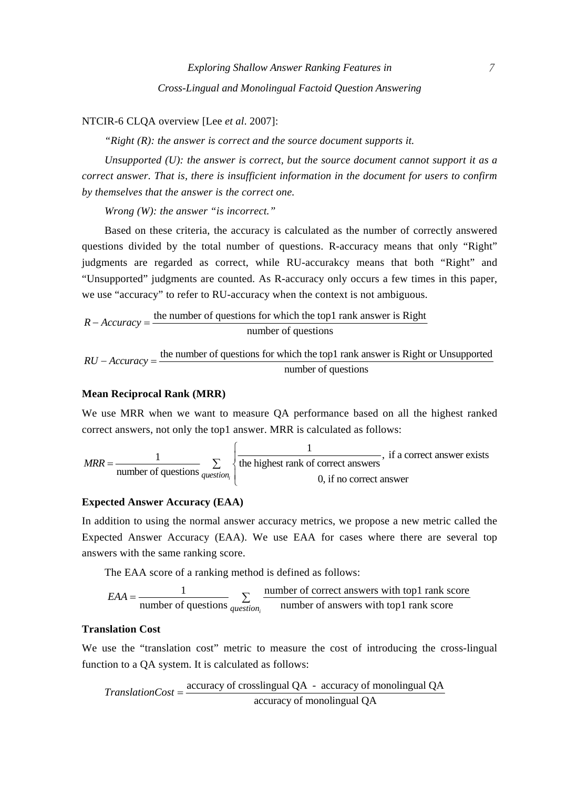NTCIR-6 CLQA overview [Lee *et al*. 2007]:

*"Right (R): the answer is correct and the source document supports it.* 

*Unsupported (U): the answer is correct, but the source document cannot support it as a correct answer. That is, there is insufficient information in the document for users to confirm by themselves that the answer is the correct one.* 

*Wrong (W): the answer "is incorrect."*

Based on these criteria, the accuracy is calculated as the number of correctly answered questions divided by the total number of questions. R-accuracy means that only "Right" judgments are regarded as correct, while RU-accurakcy means that both "Right" and "Unsupported" judgments are counted. As R-accuracy only occurs a few times in this paper, we use "accuracy" to refer to RU-accuracy when the context is not ambiguous.

$$
R - Accuracy = \frac{\text{the number of questions for which the top 1 rank answer is Right}}{\text{number of questions}}
$$

 $RU - Accuracy =$  the number of questions for which the top1 rank answer is Right or Unsupported number of questions

#### **Mean Reciprocal Rank (MRR)**

We use MRR when we want to measure QA performance based on all the highest ranked correct answers, not only the top1 answer. MRR is calculated as follows:

$$
MRR = \frac{1}{\text{number of questions}} \sum_{\text{question}_i} \left\{ \frac{1}{\text{the highest rank of correct answers}}, \text{ if a correct answer exists } 0, \text{ if no correct answer} \right\}
$$

#### **Expected Answer Accuracy (EAA)**

In addition to using the normal answer accuracy metrics, we propose a new metric called the Expected Answer Accuracy (EAA). We use EAA for cases where there are several top answers with the same ranking score.

The EAA score of a ranking method is defined as follows:

$$
EAA = \frac{1}{\text{number of questions}} \sum_{question_i} \frac{\text{number of correct answers with top1 rank score}}{\text{number of answers with top1 rank score}}
$$

#### **Translation Cost**

We use the "translation cost" metric to measure the cost of introducing the cross-lingual function to a QA system. It is calculated as follows:

accuracy of crosslingual QA - accuracy of monolingual QA *TranslationCost* =accuracy of monolingual QA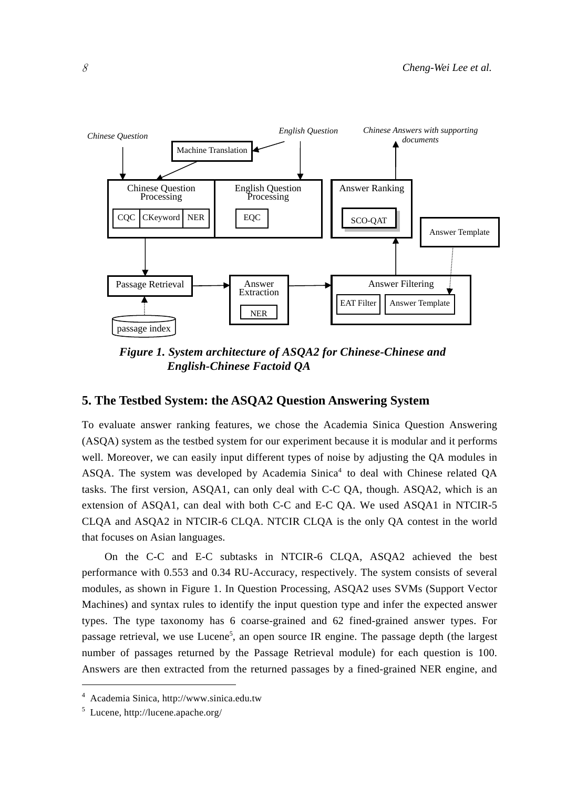

*Figure 1. System architecture of ASQA2 for Chinese-Chinese and English-Chinese Factoid QA* 

# **5. The Testbed System: the ASQA2 Question Answering System**

To evaluate answer ranking features, we chose the Academia Sinica Question Answering (ASQA) system as the testbed system for our experiment because it is modular and it performs well. Moreover, we can easily input different types of noise by adjusting the QA modules in ASQA. The system was developed by Academia Sinica<sup>4</sup> to deal with Chinese related QA tasks. The first version, ASQA1, can only deal with C-C QA, though. ASQA2, which is an extension of ASQA1, can deal with both C-C and E-C QA. We used ASQA1 in NTCIR-5 CLQA and ASQA2 in NTCIR-6 CLQA. NTCIR CLQA is the only QA contest in the world that focuses on Asian languages.

On the C-C and E-C subtasks in NTCIR-6 CLQA, ASQA2 achieved the best performance with 0.553 and 0.34 RU-Accuracy, respectively. The system consists of several modules, as shown in Figure 1. In Question Processing, ASQA2 uses SVMs (Support Vector Machines) and syntax rules to identify the input question type and infer the expected answer types. The type taxonomy has 6 coarse-grained and 62 fined-grained answer types. For passage retrieval, we use Lucene<sup>5</sup>, an open source IR engine. The passage depth (the largest number of passages returned by the Passage Retrieval module) for each question is 100. Answers are then extracted from the returned passages by a fined-grained NER engine, and

<sup>4</sup> Academia Sinica, http://www.sinica.edu.tw

<sup>5</sup> Lucene, http://lucene.apache.org/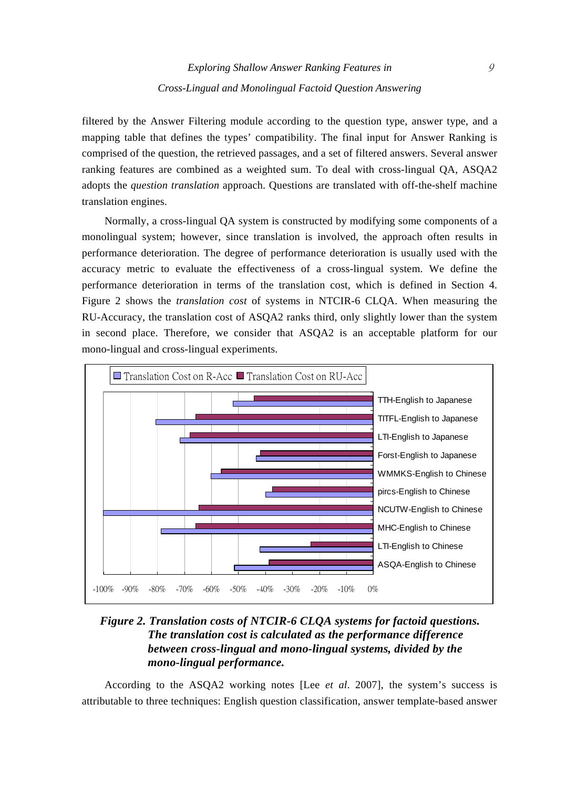filtered by the Answer Filtering module according to the question type, answer type, and a mapping table that defines the types' compatibility. The final input for Answer Ranking is comprised of the question, the retrieved passages, and a set of filtered answers. Several answer ranking features are combined as a weighted sum. To deal with cross-lingual QA, ASQA2 adopts the *question translation* approach. Questions are translated with off-the-shelf machine translation engines.

Normally, a cross-lingual QA system is constructed by modifying some components of a monolingual system; however, since translation is involved, the approach often results in performance deterioration. The degree of performance deterioration is usually used with the accuracy metric to evaluate the effectiveness of a cross-lingual system. We define the performance deterioration in terms of the translation cost, which is defined in Section 4. Figure 2 shows the *translation cost* of systems in NTCIR-6 CLQA. When measuring the RU-Accuracy, the translation cost of ASQA2 ranks third, only slightly lower than the system in second place. Therefore, we consider that ASQA2 is an acceptable platform for our mono-lingual and cross-lingual experiments.



# *Figure 2. Translation costs of NTCIR-6 CLQA systems for factoid questions. The translation cost is calculated as the performance difference between cross-lingual and mono-lingual systems, divided by the mono-lingual performance.*

According to the ASQA2 working notes [Lee *et al*. 2007], the system's success is attributable to three techniques: English question classification, answer template-based answer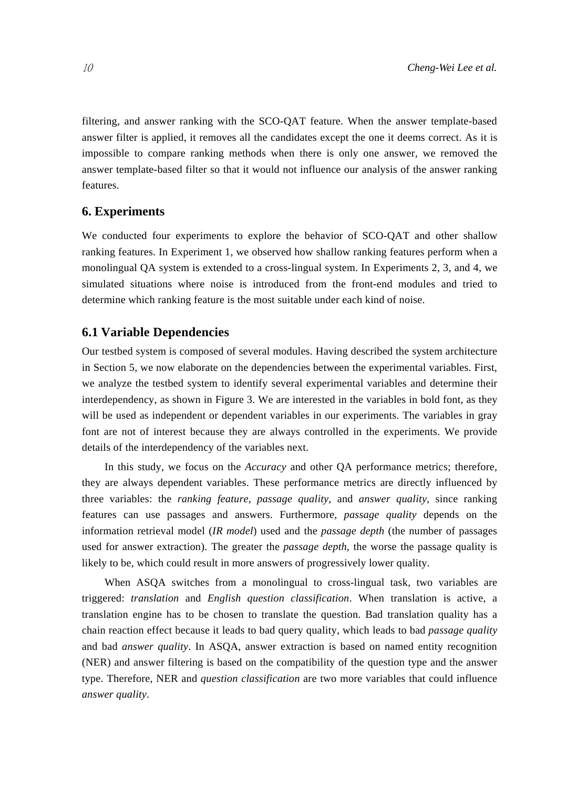filtering, and answer ranking with the SCO-QAT feature. When the answer template-based answer filter is applied, it removes all the candidates except the one it deems correct. As it is impossible to compare ranking methods when there is only one answer, we removed the answer template-based filter so that it would not influence our analysis of the answer ranking features.

#### **6. Experiments**

We conducted four experiments to explore the behavior of SCO-QAT and other shallow ranking features. In Experiment 1, we observed how shallow ranking features perform when a monolingual QA system is extended to a cross-lingual system. In Experiments 2, 3, and 4, we simulated situations where noise is introduced from the front-end modules and tried to determine which ranking feature is the most suitable under each kind of noise.

## **6.1 Variable Dependencies**

Our testbed system is composed of several modules. Having described the system architecture in Section 5, we now elaborate on the dependencies between the experimental variables. First, we analyze the testbed system to identify several experimental variables and determine their interdependency, as shown in Figure 3. We are interested in the variables in bold font, as they will be used as independent or dependent variables in our experiments. The variables in gray font are not of interest because they are always controlled in the experiments. We provide details of the interdependency of the variables next.

In this study, we focus on the *Accuracy* and other QA performance metrics; therefore, they are always dependent variables. These performance metrics are directly influenced by three variables: the *ranking feature*, *passage quality*, and *answer quality*, since ranking features can use passages and answers. Furthermore, *passage quality* depends on the information retrieval model (*IR model*) used and the *passage depth* (the number of passages used for answer extraction). The greater the *passage depth*, the worse the passage quality is likely to be, which could result in more answers of progressively lower quality.

When ASQA switches from a monolingual to cross-lingual task, two variables are triggered: *translation* and *English question classification*. When translation is active, a translation engine has to be chosen to translate the question. Bad translation quality has a chain reaction effect because it leads to bad query quality, which leads to bad *passage quality* and bad *answer quality*. In ASQA, answer extraction is based on named entity recognition (NER) and answer filtering is based on the compatibility of the question type and the answer type. Therefore, NER and *question classification* are two more variables that could influence *answer quality*.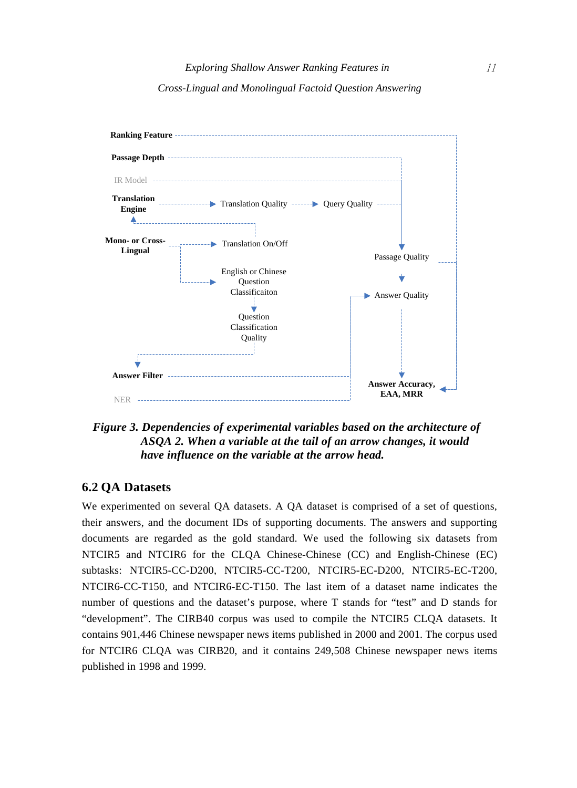



*Figure 3. Dependencies of experimental variables based on the architecture of ASQA 2. When a variable at the tail of an arrow changes, it would have influence on the variable at the arrow head.* 

# **6.2 QA Datasets**

We experimented on several QA datasets. A QA dataset is comprised of a set of questions, their answers, and the document IDs of supporting documents. The answers and supporting documents are regarded as the gold standard. We used the following six datasets from NTCIR5 and NTCIR6 for the CLQA Chinese-Chinese (CC) and English-Chinese (EC) subtasks: NTCIR5-CC-D200, NTCIR5-CC-T200, NTCIR5-EC-D200, NTCIR5-EC-T200, NTCIR6-CC-T150, and NTCIR6-EC-T150. The last item of a dataset name indicates the number of questions and the dataset's purpose, where T stands for "test" and D stands for "development". The CIRB40 corpus was used to compile the NTCIR5 CLQA datasets. It contains 901,446 Chinese newspaper news items published in 2000 and 2001. The corpus used for NTCIR6 CLQA was CIRB20, and it contains 249,508 Chinese newspaper news items published in 1998 and 1999.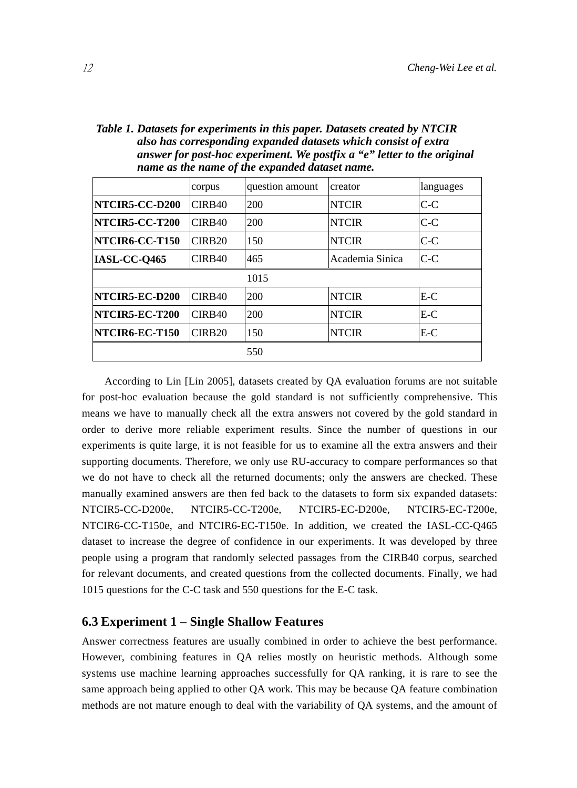| Table 1. Datasets for experiments in this paper. Datasets created by NTCIR |
|----------------------------------------------------------------------------|
| also has corresponding expanded datasets which consist of extra            |
| answer for post-hoc experiment. We postfix a "e" letter to the original    |
| name as the name of the expanded dataset name.                             |

|                       | corpus             | question amount | creator         | languages |
|-----------------------|--------------------|-----------------|-----------------|-----------|
| NTCIR5-CC-D200        | CIRB40             | 200             | <b>NTCIR</b>    | $C-C$     |
| NTCIR5-CC-T200        | CIRB <sub>40</sub> | 200             | <b>NTCIR</b>    | $C-C$     |
| NTCIR6-CC-T150        | CIRB <sub>20</sub> | 150             | <b>NTCIR</b>    | $C-C$     |
| IASL-CC-Q465          | CIRB <sub>40</sub> | 465             | Academia Sinica | C-C       |
|                       |                    | 1015            |                 |           |
| NTCIR5-EC-D200        | CIRB <sub>40</sub> | 200             | <b>NTCIR</b>    | $E-C$     |
| <b>NTCIR5-EC-T200</b> | CIRB <sub>40</sub> | 200             | <b>NTCIR</b>    | $E-C$     |
| NTCIR6-EC-T150        | CIRB <sub>20</sub> | 150             | <b>NTCIR</b>    | E-C       |
|                       |                    | 550             |                 |           |

According to Lin [Lin 2005], datasets created by QA evaluation forums are not suitable for post-hoc evaluation because the gold standard is not sufficiently comprehensive. This means we have to manually check all the extra answers not covered by the gold standard in order to derive more reliable experiment results. Since the number of questions in our experiments is quite large, it is not feasible for us to examine all the extra answers and their supporting documents. Therefore, we only use RU-accuracy to compare performances so that we do not have to check all the returned documents; only the answers are checked. These manually examined answers are then fed back to the datasets to form six expanded datasets: NTCIR5-CC-D200e, NTCIR5-CC-T200e, NTCIR5-EC-D200e, NTCIR5-EC-T200e, NTCIR6-CC-T150e, and NTCIR6-EC-T150e. In addition, we created the IASL-CC-Q465 dataset to increase the degree of confidence in our experiments. It was developed by three people using a program that randomly selected passages from the CIRB40 corpus, searched for relevant documents, and created questions from the collected documents. Finally, we had 1015 questions for the C-C task and 550 questions for the E-C task.

## **6.3 Experiment 1 – Single Shallow Features**

Answer correctness features are usually combined in order to achieve the best performance. However, combining features in QA relies mostly on heuristic methods. Although some systems use machine learning approaches successfully for QA ranking, it is rare to see the same approach being applied to other QA work. This may be because QA feature combination methods are not mature enough to deal with the variability of QA systems, and the amount of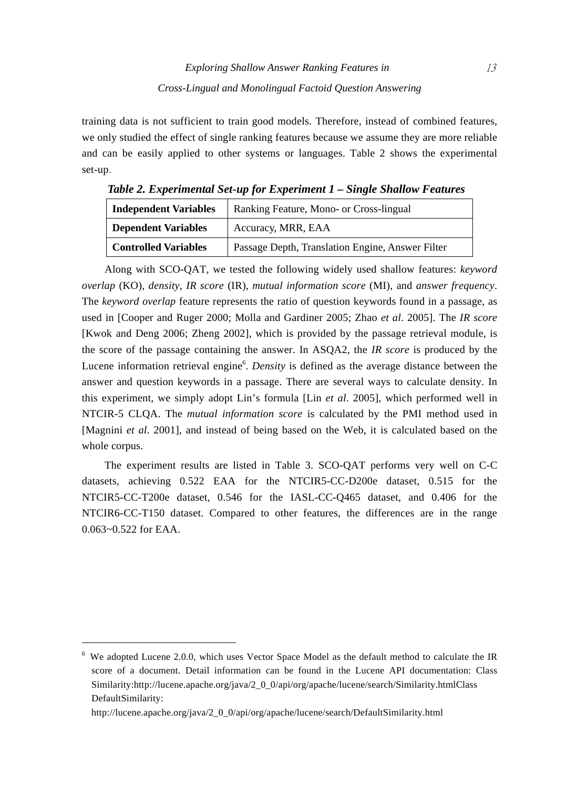training data is not sufficient to train good models. Therefore, instead of combined features, we only studied the effect of single ranking features because we assume they are more reliable and can be easily applied to other systems or languages. Table 2 shows the experimental set-up.

| <b>Independent Variables</b> | Ranking Feature, Mono- or Cross-lingual          |  |  |
|------------------------------|--------------------------------------------------|--|--|
| <b>Dependent Variables</b>   | Accuracy, MRR, EAA                               |  |  |
| <b>Controlled Variables</b>  | Passage Depth, Translation Engine, Answer Filter |  |  |

*Table 2. Experimental Set-up for Experiment 1 – Single Shallow Features* 

Along with SCO-QAT, we tested the following widely used shallow features: *keyword overlap* (KO), *density*, *IR score* (IR), *mutual information score* (MI), and *answer frequency*. The *keyword overlap* feature represents the ratio of question keywords found in a passage, as used in [Cooper and Ruger 2000; Molla and Gardiner 2005; Zhao *et al*. 2005]. The *IR score* [Kwok and Deng 2006; Zheng 2002], which is provided by the passage retrieval module, is the score of the passage containing the answer. In ASQA2, the *IR score* is produced by the Lucene information retrieval engine<sup>6</sup>. *Density* is defined as the average distance between the answer and question keywords in a passage. There are several ways to calculate density. In this experiment, we simply adopt Lin's formula [Lin *et al*. 2005], which performed well in NTCIR-5 CLQA. The *mutual information score* is calculated by the PMI method used in [Magnini *et al*. 2001], and instead of being based on the Web, it is calculated based on the whole corpus.

The experiment results are listed in Table 3. SCO-QAT performs very well on C-C datasets, achieving 0.522 EAA for the NTCIR5-CC-D200e dataset, 0.515 for the NTCIR5-CC-T200e dataset, 0.546 for the IASL-CC-Q465 dataset, and 0.406 for the NTCIR6-CC-T150 dataset. Compared to other features, the differences are in the range 0.063~0.522 for EAA.

<sup>&</sup>lt;sup>6</sup> We adopted Lucene 2.0.0, which uses Vector Space Model as the default method to calculate the IR score of a document. Detail information can be found in the Lucene API documentation: Class Similarity:http://lucene.apache.org/java/2\_0\_0/api/org/apache/lucene/search/Similarity.htmlClass DefaultSimilarity:

http://lucene.apache.org/java/2\_0\_0/api/org/apache/lucene/search/DefaultSimilarity.html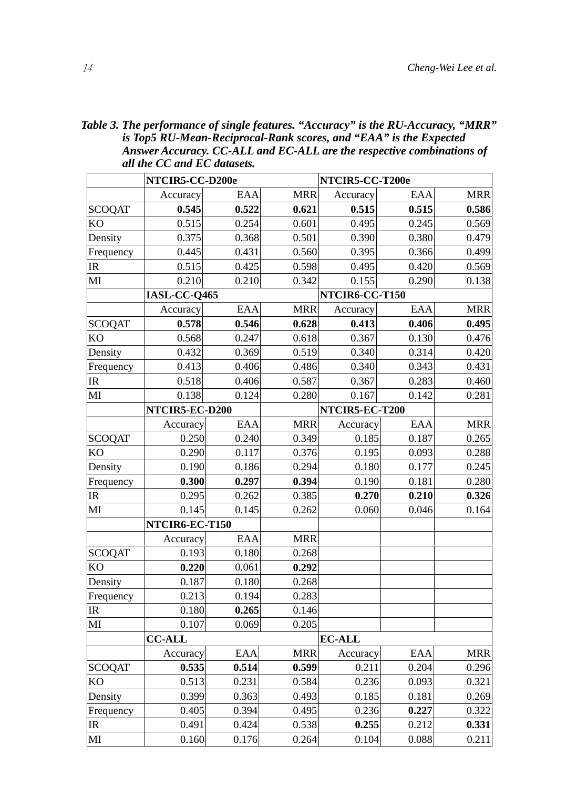| Table 3. The performance of single features. "Accuracy" is the RU-Accuracy, "MRR" |
|-----------------------------------------------------------------------------------|
| is Top5 RU-Mean-Reciprocal-Rank scores, and "EAA" is the Expected                 |
| Answer Accuracy. CC-ALL and EC-ALL are the respective combinations of             |
| all the CC and EC datasets.                                                       |

|                                   | NTCIR5-CC-D200e |       | NTCIR5-CC-T200e |                |       |            |
|-----------------------------------|-----------------|-------|-----------------|----------------|-------|------------|
|                                   | Accuracy        | EAA   | <b>MRR</b>      | Accuracy       | EAA   | <b>MRR</b> |
| <b>SCOQAT</b>                     | 0.545           | 0.522 | 0.621           | 0.515          | 0.515 | 0.586      |
| KO                                | 0.515           | 0.254 | 0.601           | 0.495          | 0.245 | 0.569      |
| Density                           | 0.375           | 0.368 | 0.501           | 0.390          | 0.380 | 0.479      |
| Frequency                         | 0.445           | 0.431 | 0.560           | 0.395          | 0.366 | 0.499      |
| IR                                | 0.515           | 0.425 | 0.598           | 0.495          | 0.420 | 0.569      |
| $\mathbf{M}$                      | 0.210           | 0.210 | 0.342           | 0.155          | 0.290 | 0.138      |
|                                   | IASL-CC-Q465    |       |                 | NTCIR6-CC-T150 |       |            |
|                                   | Accuracy        | EAA   | <b>MRR</b>      | Accuracy       | EAA   | <b>MRR</b> |
| <b>SCOQAT</b>                     | 0.578           | 0.546 | 0.628           | 0.413          | 0.406 | 0.495      |
| KO                                | 0.568           | 0.247 | 0.618           | 0.367          | 0.130 | 0.476      |
| Density                           | 0.432           | 0.369 | 0.519           | 0.340          | 0.314 | 0.420      |
| Frequency                         | 0.413           | 0.406 | 0.486           | 0.340          | 0.343 | 0.431      |
| IR                                | 0.518           | 0.406 | 0.587           | 0.367          | 0.283 | 0.460      |
| $\mathbf{M}$                      | 0.138           | 0.124 | 0.280           | 0.167          | 0.142 | 0.281      |
|                                   | NTCIR5-EC-D200  |       |                 | NTCIR5-EC-T200 |       |            |
|                                   | Accuracy        | EAA   | <b>MRR</b>      | Accuracy       | EAA   | <b>MRR</b> |
| <b>SCOQAT</b>                     | 0.250           | 0.240 | 0.349           | 0.185          | 0.187 | 0.265      |
| KO                                | 0.290           | 0.117 | 0.376           | 0.195          | 0.093 | 0.288      |
| Density                           | 0.190           | 0.186 | 0.294           | 0.180          | 0.177 | 0.245      |
| Frequency                         | 0.300           | 0.297 | 0.394           | 0.190          | 0.181 | 0.280      |
| IR                                | 0.295           | 0.262 | 0.385           | 0.270          | 0.210 | 0.326      |
| MI                                | 0.145           | 0.145 | 0.262           | 0.060          | 0.046 | 0.164      |
|                                   | NTCIR6-EC-T150  |       |                 |                |       |            |
|                                   | Accuracy        | EAA   | <b>MRR</b>      |                |       |            |
| <b>SCOQAT</b>                     | 0.193           | 0.180 | 0.268           |                |       |            |
| <b>KO</b>                         | 0.220           | 0.061 | 0.292           |                |       |            |
| Density                           | 0.187           | 0.180 | 0.268           |                |       |            |
| Frequency                         | 0.213           | 0.194 | 0.283           |                |       |            |
| $\ensuremath{\mathsf{IR}}\xspace$ | 0.180           | 0.265 | 0.146           |                |       |            |
| MI                                | 0.107           | 0.069 | 0.205           |                |       |            |
|                                   | <b>CC-ALL</b>   |       |                 | <b>EC-ALL</b>  |       |            |
|                                   | Accuracy        | EAA   | <b>MRR</b>      | Accuracy       | EAA   | MRR        |
| <b>SCOQAT</b>                     | 0.535           | 0.514 | 0.599           | 0.211          | 0.204 | 0.296      |
| KO                                | 0.513           | 0.231 | 0.584           | 0.236          | 0.093 | 0.321      |
| Density                           | 0.399           | 0.363 | 0.493           | 0.185          | 0.181 | 0.269      |
| Frequency                         | 0.405           | 0.394 | 0.495           | 0.236          | 0.227 | 0.322      |
| IR                                | 0.491           | 0.424 | 0.538           | 0.255          | 0.212 | 0.331      |
| MI                                | 0.160           | 0.176 | 0.264           | 0.104          | 0.088 | 0.211      |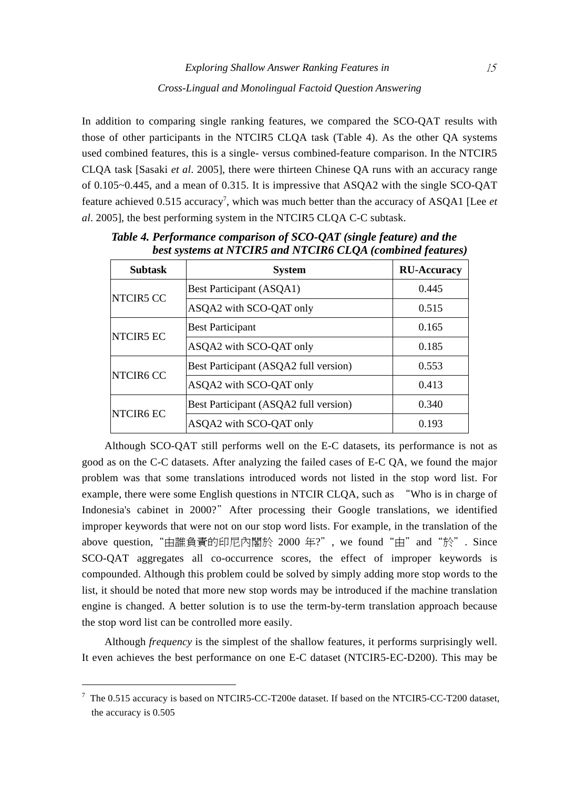In addition to comparing single ranking features, we compared the SCO-QAT results with those of other participants in the NTCIR5 CLQA task (Table 4). As the other QA systems used combined features, this is a single- versus combined-feature comparison. In the NTCIR5 CLQA task [Sasaki *et al*. 2005], there were thirteen Chinese QA runs with an accuracy range of 0.105~0.445, and a mean of 0.315. It is impressive that ASQA2 with the single SCO-QAT feature achieved 0.515 accuracy<sup>7</sup>, which was much better than the accuracy of ASQA1 [Lee *et al*. 2005], the best performing system in the NTCIR5 CLQA C-C subtask.

| <b>Subtask</b> | <b>System</b>                         | <b>RU-Accuracy</b> |
|----------------|---------------------------------------|--------------------|
| NTCIR5 CC      | Best Participant (ASQA1)              | 0.445              |
|                | ASQA2 with SCO-QAT only               | 0.515              |
| NTCIR5 EC      | <b>Best Participant</b>               | 0.165              |
|                | ASQA2 with SCO-QAT only               | 0.185              |
| NTCIR6 CC      | Best Participant (ASQA2 full version) | 0.553              |
|                | ASQA2 with SCO-QAT only               | 0.413              |
| NTCIR6 EC      | Best Participant (ASQA2 full version) | 0.340              |
|                | ASQA2 with SCO-QAT only               | 0.193              |

*Table 4. Performance comparison of SCO-QAT (single feature) and the best systems at NTCIR5 and NTCIR6 CLQA (combined features)* 

Although SCO-QAT still performs well on the E-C datasets, its performance is not as good as on the C-C datasets. After analyzing the failed cases of E-C QA, we found the major problem was that some translations introduced words not listed in the stop word list. For example, there were some English questions in NTCIR CLQA, such as "Who is in charge of Indonesia's cabinet in 2000?"After processing their Google translations, we identified improper keywords that were not on our stop word lists. For example, in the translation of the above question,"由誰負責的印尼內閣於 2000 年?", we found"由"and"於". Since SCO-QAT aggregates all co-occurrence scores, the effect of improper keywords is compounded. Although this problem could be solved by simply adding more stop words to the list, it should be noted that more new stop words may be introduced if the machine translation engine is changed. A better solution is to use the term-by-term translation approach because the stop word list can be controlled more easily.

Although *frequency* is the simplest of the shallow features, it performs surprisingly well. It even achieves the best performance on one E-C dataset (NTCIR5-EC-D200). This may be

 $7$  The 0.515 accuracy is based on NTCIR5-CC-T200e dataset. If based on the NTCIR5-CC-T200 dataset, the accuracy is 0.505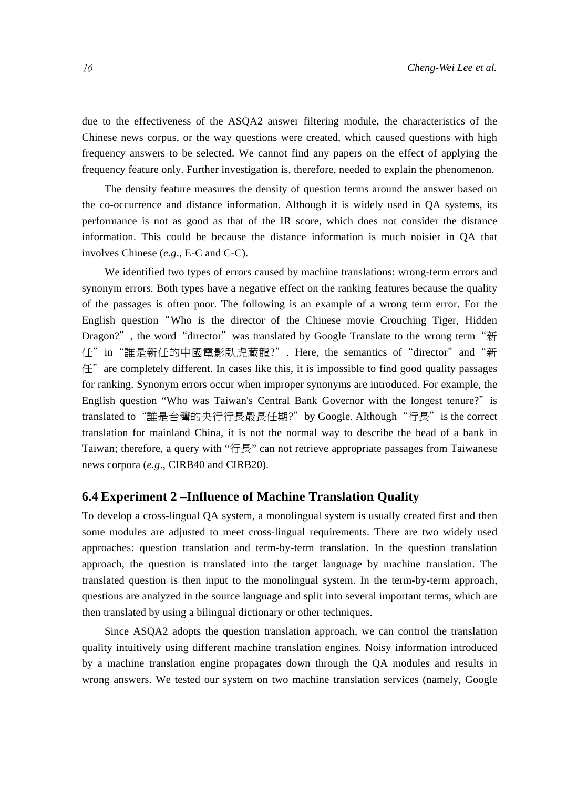due to the effectiveness of the ASQA2 answer filtering module, the characteristics of the Chinese news corpus, or the way questions were created, which caused questions with high frequency answers to be selected. We cannot find any papers on the effect of applying the frequency feature only. Further investigation is, therefore, needed to explain the phenomenon.

The density feature measures the density of question terms around the answer based on the co-occurrence and distance information. Although it is widely used in QA systems, its performance is not as good as that of the IR score, which does not consider the distance information. This could be because the distance information is much noisier in QA that involves Chinese (*e.g*., E-C and C-C).

We identified two types of errors caused by machine translations: wrong-term errors and synonym errors. Both types have a negative effect on the ranking features because the quality of the passages is often poor. The following is an example of a wrong term error. For the English question"Who is the director of the Chinese movie Crouching Tiger, Hidden Dragon?", the word "director" was translated by Google Translate to the wrong term "新 任"in"誰是新任的中國電影臥虎藏龍?". Here, the semantics of"director"and"新 任"are completely different. In cases like this, it is impossible to find good quality passages for ranking. Synonym errors occur when improper synonyms are introduced. For example, the English question "Who was Taiwan's Central Bank Governor with the longest tenure?" is translated to "誰是台灣的央行行長最長任期?"by Google. Although "行長" is the correct translation for mainland China, it is not the normal way to describe the head of a bank in Taiwan; therefore, a query with "行長" can not retrieve appropriate passages from Taiwanese news corpora (*e.g*., CIRB40 and CIRB20).

## **6.4 Experiment 2 –Influence of Machine Translation Quality**

To develop a cross-lingual QA system, a monolingual system is usually created first and then some modules are adjusted to meet cross-lingual requirements. There are two widely used approaches: question translation and term-by-term translation. In the question translation approach, the question is translated into the target language by machine translation. The translated question is then input to the monolingual system. In the term-by-term approach, questions are analyzed in the source language and split into several important terms, which are then translated by using a bilingual dictionary or other techniques.

Since ASQA2 adopts the question translation approach, we can control the translation quality intuitively using different machine translation engines. Noisy information introduced by a machine translation engine propagates down through the QA modules and results in wrong answers. We tested our system on two machine translation services (namely, Google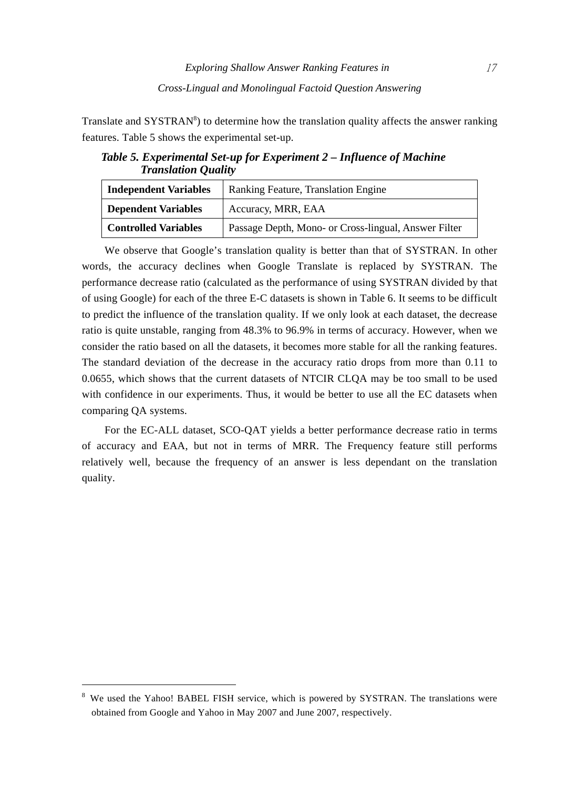Translate and  $SYSTRAN<sup>8</sup>$ ) to determine how the translation quality affects the answer ranking features. Table 5 shows the experimental set-up.

*Table 5. Experimental Set-up for Experiment 2 – Influence of Machine Translation Quality* 

| <b>Independent Variables</b> | Ranking Feature, Translation Engine                  |  |  |
|------------------------------|------------------------------------------------------|--|--|
| <b>Dependent Variables</b>   | Accuracy, MRR, EAA                                   |  |  |
| <b>Controlled Variables</b>  | Passage Depth, Mono- or Cross-lingual, Answer Filter |  |  |

We observe that Google's translation quality is better than that of SYSTRAN. In other words, the accuracy declines when Google Translate is replaced by SYSTRAN. The performance decrease ratio (calculated as the performance of using SYSTRAN divided by that of using Google) for each of the three E-C datasets is shown in Table 6. It seems to be difficult to predict the influence of the translation quality. If we only look at each dataset, the decrease ratio is quite unstable, ranging from 48.3% to 96.9% in terms of accuracy. However, when we consider the ratio based on all the datasets, it becomes more stable for all the ranking features. The standard deviation of the decrease in the accuracy ratio drops from more than 0.11 to 0.0655, which shows that the current datasets of NTCIR CLQA may be too small to be used with confidence in our experiments. Thus, it would be better to use all the EC datasets when comparing QA systems.

For the EC-ALL dataset, SCO-QAT yields a better performance decrease ratio in terms of accuracy and EAA, but not in terms of MRR. The Frequency feature still performs relatively well, because the frequency of an answer is less dependant on the translation quality.

<sup>&</sup>lt;sup>8</sup> We used the Yahoo! BABEL FISH service, which is powered by SYSTRAN. The translations were obtained from Google and Yahoo in May 2007 and June 2007, respectively.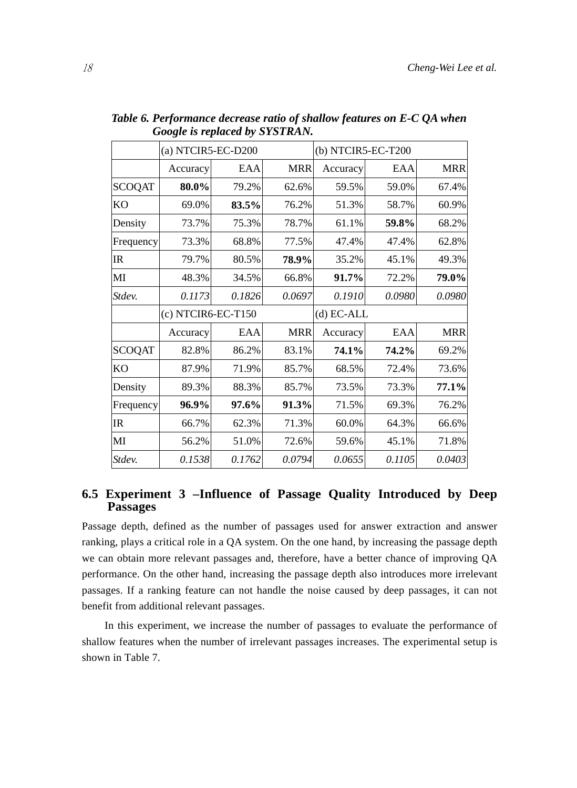|               | (a) NTCIR5-EC-D200 |        |              | (b) NTCIR5-EC-T200 |        |            |
|---------------|--------------------|--------|--------------|--------------------|--------|------------|
|               | Accuracy           | EAA    | <b>MRR</b>   | Accuracy           | EAA    | <b>MRR</b> |
| <b>SCOQAT</b> | 80.0%              | 79.2%  | 62.6%        | 59.5%              | 59.0%  | 67.4%      |
| <b>KO</b>     | 69.0%              | 83.5%  | 76.2%        | 51.3%              | 58.7%  | 60.9%      |
| Density       | 73.7%              | 75.3%  | 78.7%        | 61.1%              | 59.8%  | 68.2%      |
| Frequency     | 73.3%              | 68.8%  | 77.5%        | 47.4%              | 47.4%  | 62.8%      |
| <b>IR</b>     | 79.7%              | 80.5%  | 78.9%        | 35.2%              | 45.1%  | 49.3%      |
| MI            | 48.3%              | 34.5%  | 66.8%        | 91.7%              | 72.2%  | 79.0%      |
| Stdev.        | 0.1173             | 0.1826 | 0.0697       | 0.1910             | 0.0980 | 0.0980     |
|               | (c) NTCIR6-EC-T150 |        | $(d) EC-ALL$ |                    |        |            |
|               | Accuracy           | EAA    | <b>MRR</b>   | Accuracy           | EAA    | <b>MRR</b> |
| <b>SCOQAT</b> | 82.8%              | 86.2%  | 83.1%        | 74.1%              | 74.2%  | 69.2%      |
| <b>KO</b>     | 87.9%              | 71.9%  | 85.7%        | 68.5%              | 72.4%  | 73.6%      |
| Density       | 89.3%              | 88.3%  | 85.7%        | 73.5%              | 73.3%  | 77.1%      |
| Frequency     | 96.9%              | 97.6%  | 91.3%        | 71.5%              | 69.3%  | 76.2%      |
| IR            | 66.7%              | 62.3%  | 71.3%        | 60.0%              | 64.3%  | 66.6%      |
| MI            | 56.2%              | 51.0%  | 72.6%        | 59.6%              | 45.1%  | 71.8%      |
| Stdev.        | 0.1538             | 0.1762 | 0.0794       | 0.0655             | 0.1105 | 0.0403     |

*Table 6. Performance decrease ratio of shallow features on E-C QA when Google is replaced by SYSTRAN.* 

## **6.5 Experiment 3 –Influence of Passage Quality Introduced by Deep Passages**

Passage depth, defined as the number of passages used for answer extraction and answer ranking, plays a critical role in a QA system. On the one hand, by increasing the passage depth we can obtain more relevant passages and, therefore, have a better chance of improving QA performance. On the other hand, increasing the passage depth also introduces more irrelevant passages. If a ranking feature can not handle the noise caused by deep passages, it can not benefit from additional relevant passages.

In this experiment, we increase the number of passages to evaluate the performance of shallow features when the number of irrelevant passages increases. The experimental setup is shown in Table 7.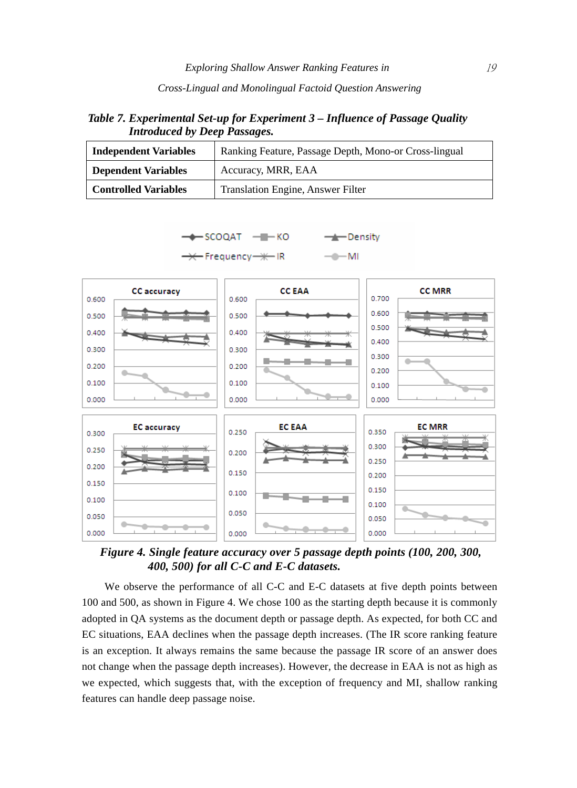#### *Cross-Lingual and Monolingual Factoid Question Answering*

*Table 7. Experimental Set-up for Experiment 3 – Influence of Passage Quality Introduced by Deep Passages.* 

| <b>Independent Variables</b> | Ranking Feature, Passage Depth, Mono-or Cross-lingual |  |  |  |
|------------------------------|-------------------------------------------------------|--|--|--|
| <b>Dependent Variables</b>   | Accuracy, MRR, EAA                                    |  |  |  |
| <b>Controlled Variables</b>  | Translation Engine, Answer Filter                     |  |  |  |

-SCOQAT - H-KO

-Density







*Figure 4. Single feature accuracy over 5 passage depth points (100, 200, 300, 400, 500) for all C-C and E-C datasets.* 

We observe the performance of all C-C and E-C datasets at five depth points between 100 and 500, as shown in Figure 4. We chose 100 as the starting depth because it is commonly adopted in QA systems as the document depth or passage depth. As expected, for both CC and EC situations, EAA declines when the passage depth increases. (The IR score ranking feature is an exception. It always remains the same because the passage IR score of an answer does not change when the passage depth increases). However, the decrease in EAA is not as high as we expected, which suggests that, with the exception of frequency and MI, shallow ranking features can handle deep passage noise.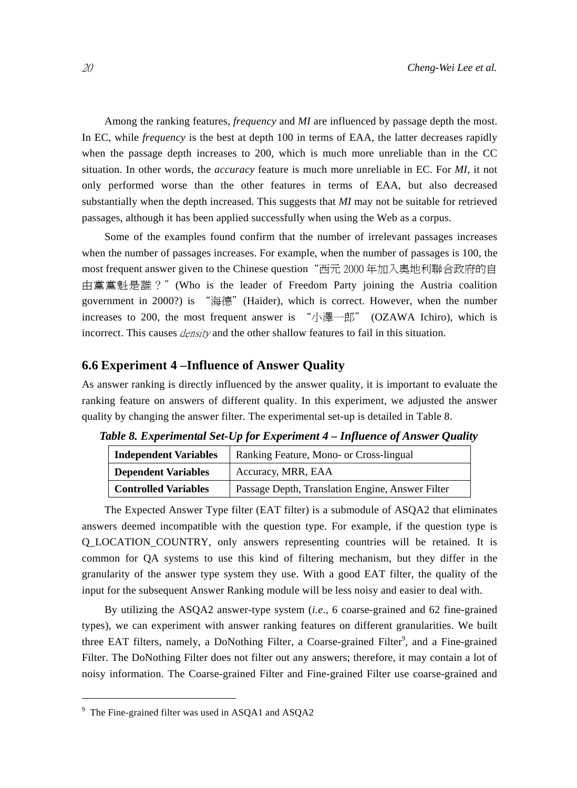Among the ranking features, *frequency* and *MI* are influenced by passage depth the most. In EC, while *frequency* is the best at depth 100 in terms of EAA, the latter decreases rapidly when the passage depth increases to 200, which is much more unreliable than in the CC situation. In other words, the *accuracy* feature is much more unreliable in EC. For *MI*, it not only performed worse than the other features in terms of EAA, but also decreased substantially when the depth increased. This suggests that *MI* may not be suitable for retrieved passages, although it has been applied successfully when using the Web as a corpus.

Some of the examples found confirm that the number of irrelevant passages increases when the number of passages increases. For example, when the number of passages is 100, the most frequent answer given to the Chinese question"西元 2000 年加入奧地利聯合政府的自 由黨黨魁是誰?"(Who is the leader of Freedom Party joining the Austria coalition government in 2000?) is "海德"(Haider), which is correct. However, when the number increases to 200, the most frequent answer is "小澤一郎" (OZAWA Ichiro), which is incorrect. This causes *density* and the other shallow features to fail in this situation.

#### **6.6 Experiment 4 –Influence of Answer Quality**

As answer ranking is directly influenced by the answer quality, it is important to evaluate the ranking feature on answers of different quality. In this experiment, we adjusted the answer quality by changing the answer filter. The experimental set-up is detailed in Table 8.

| <b>Independent Variables</b> | Ranking Feature, Mono- or Cross-lingual          |  |  |
|------------------------------|--------------------------------------------------|--|--|
| <b>Dependent Variables</b>   | Accuracy, MRR, EAA                               |  |  |
| <b>Controlled Variables</b>  | Passage Depth, Translation Engine, Answer Filter |  |  |

The Expected Answer Type filter (EAT filter) is a submodule of ASQA2 that eliminates answers deemed incompatible with the question type. For example, if the question type is Q\_LOCATION\_COUNTRY, only answers representing countries will be retained. It is common for QA systems to use this kind of filtering mechanism, but they differ in the granularity of the answer type system they use. With a good EAT filter, the quality of the input for the subsequent Answer Ranking module will be less noisy and easier to deal with.

By utilizing the ASQA2 answer-type system (*i.e*., 6 coarse-grained and 62 fine-grained types), we can experiment with answer ranking features on different granularities. We built three EAT filters, namely, a DoNothing Filter, a Coarse-grained Filter<sup>9</sup>, and a Fine-grained Filter. The DoNothing Filter does not filter out any answers; therefore, it may contain a lot of noisy information. The Coarse-grained Filter and Fine-grained Filter use coarse-grained and

<sup>9</sup> The Fine-grained filter was used in ASQA1 and ASQA2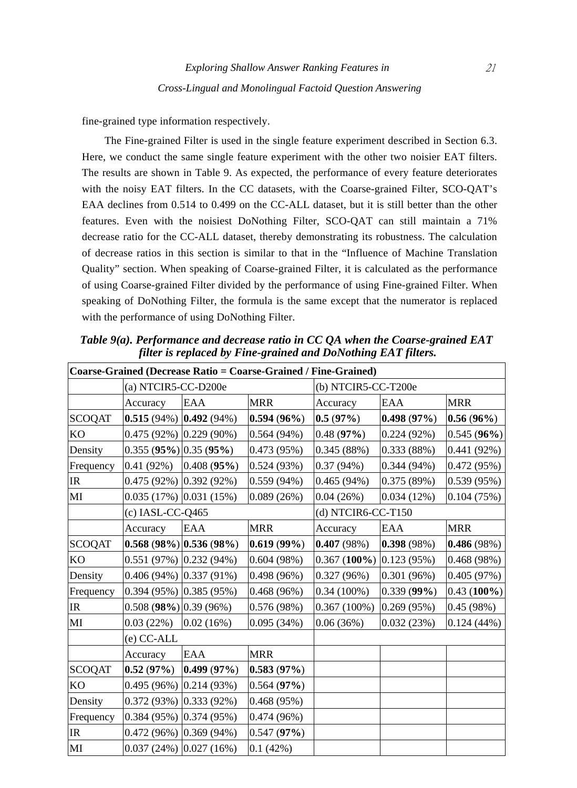fine-grained type information respectively.

The Fine-grained Filter is used in the single feature experiment described in Section 6.3. Here, we conduct the same single feature experiment with the other two noisier EAT filters. The results are shown in Table 9. As expected, the performance of every feature deteriorates with the noisy EAT filters. In the CC datasets, with the Coarse-grained Filter, SCO-QAT's EAA declines from 0.514 to 0.499 on the CC-ALL dataset, but it is still better than the other features. Even with the noisiest DoNothing Filter, SCO-QAT can still maintain a 71% decrease ratio for the CC-ALL dataset, thereby demonstrating its robustness. The calculation of decrease ratios in this section is similar to that in the "Influence of Machine Translation Quality" section. When speaking of Coarse-grained Filter, it is calculated as the performance of using Coarse-grained Filter divided by the performance of using Fine-grained Filter. When speaking of DoNothing Filter, the formula is the same except that the numerator is replaced with the performance of using DoNothing Filter.

| Coarse-Grained (Decrease Ratio = Coarse-Grained / Fine-Grained) |                               |                            |               |                              |            |               |  |
|-----------------------------------------------------------------|-------------------------------|----------------------------|---------------|------------------------------|------------|---------------|--|
|                                                                 | (a) NTCIR5-CC-D200e           |                            |               | (b) NTCIR5-CC-T200e          |            |               |  |
|                                                                 | Accuracy                      | EAA                        | <b>MRR</b>    | Accuracy                     | EAA        | MRR           |  |
| <b>SCOQAT</b>                                                   | $ 0.515(94\%) 0.492(94\%)$    |                            | $0.594(96\%)$ | 0.5(97%)                     | 0.498(97%) | $0.56(96\%)$  |  |
| KO                                                              | $0.475(92\%)$ $0.229(90\%)$   |                            | 0.564(94%)    | 0.48(97%)                    | 0.224(92%) | $0.545(96\%)$ |  |
| Density                                                         | $0.355(95%)$ $0.35(95%)$      |                            | 0.473(95%)    | 0.345(88%)                   | 0.333(88%) | 0.441(92%)    |  |
| Frequency                                                       |                               | $0.41(92%)$ $0.408(95%)$   | 0.524(93%)    | 0.37(94%)                    | 0.344(94%) | 0.472(95%)    |  |
| IR                                                              | $0.475(92\%)$ $0.392(92\%)$   |                            | 0.559(94%)    | 0.465(94%)                   | 0.375(89%) | 0.539(95%)    |  |
| $\mathbf{M}$                                                    | $0.035(17%)$ $0.031(15%)$     |                            | 0.089(26%)    | 0.04(26%)                    | 0.034(12%) | 0.104(75%)    |  |
|                                                                 | $(c)$ IASL-CC-Q465            |                            |               | (d) NTCIR6-CC-T150           |            |               |  |
|                                                                 | Accuracy                      | EAA                        | <b>MRR</b>    | Accuracy                     | EAA        | <b>MRR</b>    |  |
| <b>SCOQAT</b>                                                   |                               | $ 0.568(98\%) 0.536(98\%)$ | 0.619(99%)    | 0.407(98%)                   | 0.398(98%) | 0.486(98%)    |  |
| <b>KO</b>                                                       | $0.551(97%)$ $0.232(94%)$     |                            | 0.604(98%)    | $0.367(100\%)$ $0.123(95\%)$ |            | 0.468(98%)    |  |
| Density                                                         | $0.406(94\%)$ $0.337(91\%)$   |                            | 0.498 (96%)   | 0.327(96%)                   | 0.301(96%) | 0.405(97%)    |  |
| Frequency                                                       | $(0.394(95\%)$ $(0.385(95\%)$ |                            | 0.468(96%)    | $0.34(100\%)$                | 0.339(99%) | $0.43(100\%)$ |  |
| IR                                                              | $0.508$ (98%) $ 0.39$ (96%)   |                            | 0.576(98%)    | $0.367(100\%)$               | 0.269(95%) | 0.45(98%)     |  |
| MI                                                              | 0.03(22%)                     | 0.02(16%)                  | 0.095(34%)    | 0.06(36%)                    | 0.032(23%) | $0.124(44\%)$ |  |
|                                                                 | (e) CC-ALL                    |                            |               |                              |            |               |  |
|                                                                 | Accuracy                      | <b>EAA</b>                 | <b>MRR</b>    |                              |            |               |  |
| <b>SCOQAT</b>                                                   |                               | $0.52(97%)$ $0.499(97%)$   | 0.583(97%)    |                              |            |               |  |
| KO                                                              | $0.495(96\%)$ $0.214(93\%)$   |                            | 0.564(97%)    |                              |            |               |  |
| Density                                                         | $0.372(93%)$ $0.333(92%)$     |                            | 0.468(95%)    |                              |            |               |  |
| Frequency                                                       | $0.384(95%)$ $0.374(95%)$     |                            | 0.474 (96%)   |                              |            |               |  |
| IR                                                              | $0.472(96\%)$ $0.369(94\%)$   |                            | 0.547(97%)    |                              |            |               |  |
| $\mathbf{M}$                                                    | $0.037(24%)$ $0.027(16%)$     |                            | 0.1(42%)      |                              |            |               |  |

*Table 9(a). Performance and decrease ratio in CC QA when the Coarse-grained EAT filter is replaced by Fine-grained and DoNothing EAT filters.*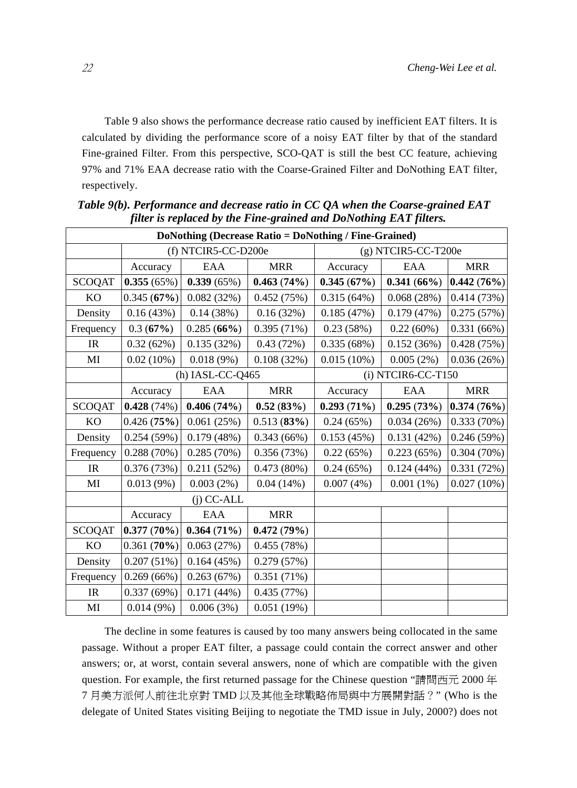Table 9 also shows the performance decrease ratio caused by inefficient EAT filters. It is calculated by dividing the performance score of a noisy EAT filter by that of the standard Fine-grained Filter. From this perspective, SCO-QAT is still the best CC feature, achieving 97% and 71% EAA decrease ratio with the Coarse-Grained Filter and DoNothing EAT filter, respectively.

| DoNothing (Decrease Ratio = DoNothing / Fine-Grained) |                     |               |            |                       |               |            |  |  |  |  |  |
|-------------------------------------------------------|---------------------|---------------|------------|-----------------------|---------------|------------|--|--|--|--|--|
|                                                       | (f) NTCIR5-CC-D200e |               |            | $(g)$ NTCIR5-CC-T200e |               |            |  |  |  |  |  |
|                                                       | Accuracy            | EAA           | <b>MRR</b> | Accuracy              | EAA           | <b>MRR</b> |  |  |  |  |  |
| <b>SCOQAT</b>                                         | 0.355(65%)          | 0.339(65%)    | 0.463(74%) | 0.345(67%)            | $0.341(66\%)$ | 0.442(76%) |  |  |  |  |  |
| KO                                                    | 0.345(67%)          | 0.082(32%)    | 0.452(75%) | 0.315(64%)            | 0.068(28%)    | 0.414(73%) |  |  |  |  |  |
| Density                                               | 0.16(43%)           | 0.14(38%)     | 0.16(32%)  | 0.185(47%)            | 0.179(47%)    | 0.275(57%) |  |  |  |  |  |
| Frequency                                             | 0.3(67%)            | 0.285(66%)    | 0.395(71%) | 0.23(58%)             | 0.22(60%)     | 0.331(66%) |  |  |  |  |  |
| IR                                                    | 0.32(62%)           | 0.135(32%)    | 0.43(72%)  | 0.335(68%)            | 0.152(36%)    | 0.428(75%) |  |  |  |  |  |
| MI                                                    | 0.02(10%)           | 0.018(9%)     | 0.108(32%) | $0.015(10\%)$         | 0.005(2%)     | 0.036(26%) |  |  |  |  |  |
|                                                       | $(h)$ IASL-CC-Q465  |               |            | (i) NTCIR6-CC-T150    |               |            |  |  |  |  |  |
|                                                       | Accuracy            | EAA           | <b>MRR</b> | Accuracy              | EAA           | <b>MRR</b> |  |  |  |  |  |
| <b>SCOQAT</b>                                         | 0.428(74%)          | 0.406(74%)    | 0.52(83%)  | 0.293(71%)            | 0.295(73%)    | 0.374(76%) |  |  |  |  |  |
| KO                                                    | 0.426(75%)          | 0.061(25%)    | 0.513(83%) | 0.24(65%)             | 0.034(26%)    | 0.333(70%) |  |  |  |  |  |
| Density                                               | 0.254(59%)          | 0.179(48%)    | 0.343(66%) | 0.153(45%)            | 0.131(42%)    | 0.246(59%) |  |  |  |  |  |
| Frequency                                             | 0.288(70%)          | 0.285(70%)    | 0.356(73%) | 0.22(65%)             | 0.223(65%)    | 0.304(70%) |  |  |  |  |  |
| IR                                                    | 0.376(73%)          | 0.211(52%)    | 0.473(80%) | 0.24(65%)             | 0.124(44%)    | 0.331(72%) |  |  |  |  |  |
| MI                                                    | 0.013(9%)           | 0.003(2%)     | 0.04(14%)  | 0.007(4%)             | $0.001(1\%)$  | 0.027(10%) |  |  |  |  |  |
|                                                       |                     | $(i)$ CC-ALL  |            |                       |               |            |  |  |  |  |  |
|                                                       | Accuracy            | EAA           | <b>MRR</b> |                       |               |            |  |  |  |  |  |
| <b>SCOQAT</b>                                         | 0.377(70%)          | $0.364(71\%)$ | 0.472(79%) |                       |               |            |  |  |  |  |  |
| KO                                                    | 0.361(70%)          | 0.063(27%)    | 0.455(78%) |                       |               |            |  |  |  |  |  |
| Density                                               | 0.207(51%)          | 0.164(45%)    | 0.279(57%) |                       |               |            |  |  |  |  |  |
| Frequency                                             | 0.269(66%)          | 0.263(67%)    | 0.351(71%) |                       |               |            |  |  |  |  |  |
| IR                                                    | 0.337(69%)          | 0.171(44%)    | 0.435(77%) |                       |               |            |  |  |  |  |  |
| MI                                                    | 0.014(9%)           | 0.006(3%)     | 0.051(19%) |                       |               |            |  |  |  |  |  |

 *Table 9(b). Performance and decrease ratio in CC QA when the Coarse-grained EAT filter is replaced by the Fine-grained and DoNothing EAT filters.* 

The decline in some features is caused by too many answers being collocated in the same passage. Without a proper EAT filter, a passage could contain the correct answer and other answers; or, at worst, contain several answers, none of which are compatible with the given question. For example, the first returned passage for the Chinese question "請問西元 2000 年 7 月美方派何人前往北京對 TMD 以及其他全球戰略佈局與中方展開對話?" (Who is the delegate of United States visiting Beijing to negotiate the TMD issue in July, 2000?) does not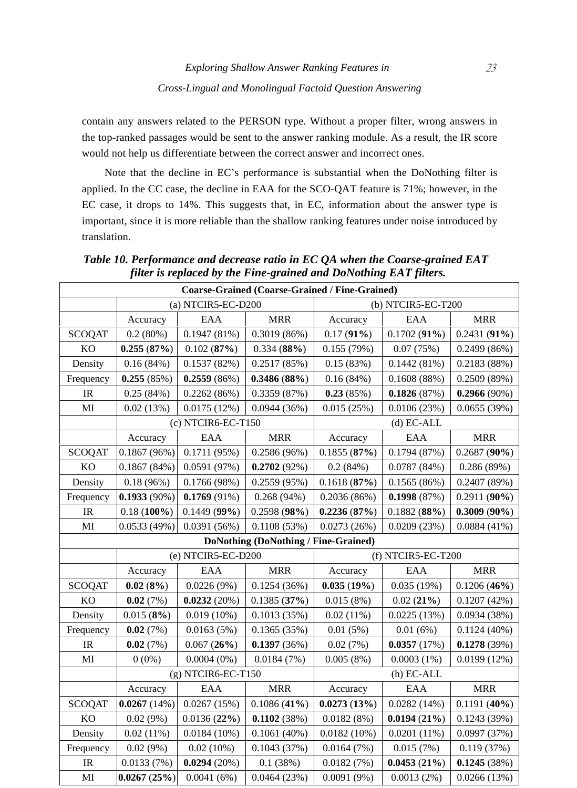contain any answers related to the PERSON type. Without a proper filter, wrong answers in the top-ranked passages would be sent to the answer ranking module. As a result, the IR score would not help us differentiate between the correct answer and incorrect ones.

Note that the decline in EC's performance is substantial when the DoNothing filter is applied. In the CC case, the decline in EAA for the SCO-QAT feature is 71%; however, in the EC case, it drops to 14%. This suggests that, in EC, information about the answer type is important, since it is more reliable than the shallow ranking features under noise introduced by translation.

*Table 10. Performance and decrease ratio in EC QA when the Coarse-grained EAT filter is replaced by the Fine-grained and DoNothing EAT filters.* 

| Coarse-Grained (Coarse-Grained / Fine-Grained) |                      |                    |                      |                    |                |                |  |  |  |  |
|------------------------------------------------|----------------------|--------------------|----------------------|--------------------|----------------|----------------|--|--|--|--|
|                                                |                      | (a) NTCIR5-EC-D200 |                      | (b) NTCIR5-EC-T200 |                |                |  |  |  |  |
|                                                | Accuracy             | EAA                | <b>MRR</b>           | Accuracy           | EAA            | <b>MRR</b>     |  |  |  |  |
| <b>SCOQAT</b>                                  | 0.2(80%)             | 0.1947(81%)        | $0.3019(86\%)$       | 0.17(91%)          | 0.1702(91%)    | $0.2431(91\%)$ |  |  |  |  |
| KO                                             | 0.255(87%)           | 0.102(87%)         | 0.334(88%)           | 0.155(79%)         | 0.07(75%)      | $0.2499(86\%)$ |  |  |  |  |
| Density                                        | 0.16(84%)            | 0.1537(82%)        | 0.2517(85%)          | 0.15(83%)          | 0.1442(81%)    | 0.2183(88%)    |  |  |  |  |
| Frequency                                      | 0.255(85%)           | 0.2559(86%)        | 0.3486(88%)          | 0.16(84%)          | 0.1608(88%)    | 0.2509(89%)    |  |  |  |  |
| IR                                             | 0.25(84%)            | 0.2262(86%)        | 0.3359(87%)          | 0.23(85%)          | 0.1826(87%)    | $0.2966(90\%)$ |  |  |  |  |
| MI                                             | 0.02(13%)            | 0.0175(12%)        | 0.0944(36%)          | 0.015(25%)         | 0.0106(23%)    | 0.0655(39%)    |  |  |  |  |
|                                                | $(c)$ NTCIR6-EC-T150 |                    | $(d)$ EC-ALL         |                    |                |                |  |  |  |  |
|                                                | Accuracy             | EAA                | <b>MRR</b>           | Accuracy           | EAA            | <b>MRR</b>     |  |  |  |  |
| <b>SCOQAT</b>                                  | $0.1867(96\%)$       | 0.1711(95%)        | $0.2586(96\%)$       | 0.1855(87%)        | 0.1794(87%)    | $0.2687(90\%)$ |  |  |  |  |
| KO                                             | 0.1867(84%)          | 0.0591(97%)        | $0.2702(92\%)$       | 0.2(84%)           | 0.0787(84%)    | 0.286(89%)     |  |  |  |  |
| Density                                        | 0.18(96%)            | 0.1766(98%)        | 0.2559(95%)          | 0.1618(87%)        | 0.1565(86%)    | 0.2407(89%)    |  |  |  |  |
| Frequency                                      | $0.1933(90\%)$       | $0.1769(91\%)$     | $0.268(94\%)$        | 0.2036(86%)        | 0.1998(87%)    | $0.2911(90\%)$ |  |  |  |  |
| IR                                             | $0.18(100\%)$        | $0.1449(99\%)$     | 0.2598(98%)          | 0.2236(87%)        | 0.1882(88%)    | $0.3009(90\%)$ |  |  |  |  |
| MI                                             | 0.0533(49%)          | 0.0391(56%)        | 0.1108(53%)          | 0.0273(26%)        | 0.0209(23%)    | $0.0884(41\%)$ |  |  |  |  |
| DoNothing (DoNothing / Fine-Grained)           |                      |                    |                      |                    |                |                |  |  |  |  |
|                                                | $(e)$ NTCIR5-EC-D200 |                    |                      | (f) NTCIR5-EC-T200 |                |                |  |  |  |  |
|                                                | Accuracy             | EAA                | $\operatorname{MRR}$ | Accuracy           | EAA            | <b>MRR</b>     |  |  |  |  |
| <b>SCOQAT</b>                                  | 0.02(8%)             | 0.0226(9%)         | 0.1254(36%)          | 0.035(19%)         | 0.035(19%)     | 0.1206(46%)    |  |  |  |  |
| <b>KO</b>                                      | 0.02(7%)             | 0.0232(20%)        | 0.1385(37%)          | 0.015(8%)          | 0.02(21%)      | 0.1207(42%)    |  |  |  |  |
| Density                                        | 0.015(8%)            | $0.019(10\%)$      | 0.1013(35%)          | 0.02(11%)          | 0.0225(13%)    | 0.0934(38%)    |  |  |  |  |
| Frequency                                      | 0.02(7%)             | 0.0163(5%)         | 0.1365(35%)          | 0.01(5%)           | 0.01(6%)       | $0.1124(40\%)$ |  |  |  |  |
| <b>IR</b>                                      | 0.02(7%)             | 0.067(26%)         | 0.1397(36%)          | 0.02(7%)           | 0.0357(17%)    | 0.1278(39%)    |  |  |  |  |
| MI                                             | $0(0\%)$             | $0.0004(0\%)$      | 0.0184(7%)           | 0.005(8%)          | $0.0003(1\%)$  | 0.0199(12%)    |  |  |  |  |
|                                                | $(g)$ NTCIR6-EC-T150 |                    |                      |                    | (h) EC-ALL     |                |  |  |  |  |
|                                                | Accuracy             | EAA                | <b>MRR</b>           | Accuracy           | EAA            | <b>MRR</b>     |  |  |  |  |
| <b>SCOQAT</b>                                  | 0.0267(14%)          | 0.0267(15%)        | 0.1086(41%)          | 0.0273(13%)        | 0.0282(14%)    | $0.1191(40\%)$ |  |  |  |  |
| <b>KO</b>                                      | 0.02(9%)             | 0.0136(22%)        | 0.1102(38%)          | 0.0182(8%)         | 0.0194(21%)    | 0.1243(39%)    |  |  |  |  |
| Density                                        | $0.02(11\%)$         | $0.0184(10\%)$     | 0.1061(40%)          | 0.0182(10%)        | $0.0201(11\%)$ | 0.0997(37%)    |  |  |  |  |
| Frequency                                      | 0.02(9%)             | 0.02(10%)          | 0.1043(37%)          | 0.0164(7%)         | 0.015(7%)      | 0.119(37%)     |  |  |  |  |
| $\ensuremath{\mathsf{IR}}\xspace$              | 0.0133(7%)           | 0.0294(20%)        | 0.1(38%)             | 0.0182(7%)         | 0.0453(21%)    | 0.1245(38%)    |  |  |  |  |
| MI                                             | 0.0267(25%)          | 0.0041(6%)         | 0.0464(23%)          | 0.0091(9%)         | 0.0013(2%)     | 0.0266(13%)    |  |  |  |  |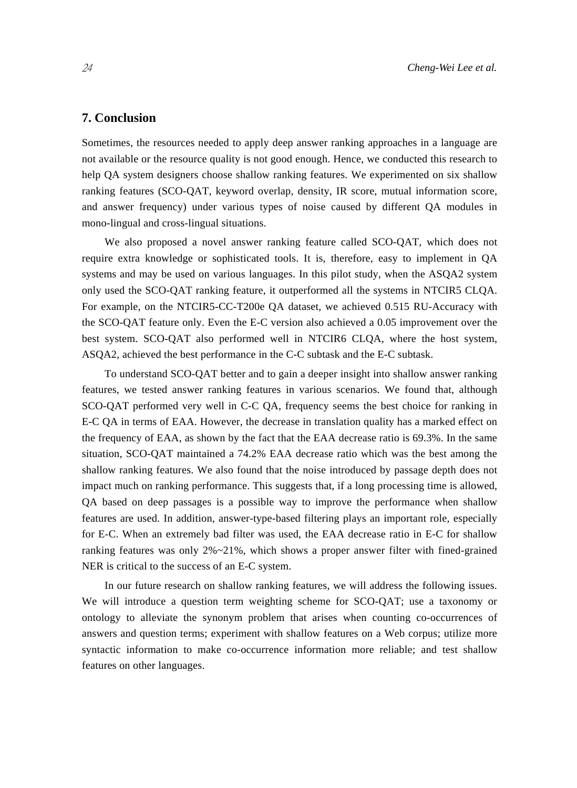## **7. Conclusion**

Sometimes, the resources needed to apply deep answer ranking approaches in a language are not available or the resource quality is not good enough. Hence, we conducted this research to help QA system designers choose shallow ranking features. We experimented on six shallow ranking features (SCO-QAT, keyword overlap, density, IR score, mutual information score, and answer frequency) under various types of noise caused by different QA modules in mono-lingual and cross-lingual situations.

We also proposed a novel answer ranking feature called SCO-QAT, which does not require extra knowledge or sophisticated tools. It is, therefore, easy to implement in QA systems and may be used on various languages. In this pilot study, when the ASQA2 system only used the SCO-QAT ranking feature, it outperformed all the systems in NTCIR5 CLQA. For example, on the NTCIR5-CC-T200e QA dataset, we achieved 0.515 RU-Accuracy with the SCO-QAT feature only. Even the E-C version also achieved a 0.05 improvement over the best system. SCO-QAT also performed well in NTCIR6 CLQA, where the host system, ASQA2, achieved the best performance in the C-C subtask and the E-C subtask.

To understand SCO-QAT better and to gain a deeper insight into shallow answer ranking features, we tested answer ranking features in various scenarios. We found that, although SCO-QAT performed very well in C-C QA, frequency seems the best choice for ranking in E-C QA in terms of EAA. However, the decrease in translation quality has a marked effect on the frequency of EAA, as shown by the fact that the EAA decrease ratio is 69.3%. In the same situation, SCO-QAT maintained a 74.2% EAA decrease ratio which was the best among the shallow ranking features. We also found that the noise introduced by passage depth does not impact much on ranking performance. This suggests that, if a long processing time is allowed, QA based on deep passages is a possible way to improve the performance when shallow features are used. In addition, answer-type-based filtering plays an important role, especially for E-C. When an extremely bad filter was used, the EAA decrease ratio in E-C for shallow ranking features was only 2%~21%, which shows a proper answer filter with fined-grained NER is critical to the success of an E-C system.

In our future research on shallow ranking features, we will address the following issues. We will introduce a question term weighting scheme for SCO-QAT; use a taxonomy or ontology to alleviate the synonym problem that arises when counting co-occurrences of answers and question terms; experiment with shallow features on a Web corpus; utilize more syntactic information to make co-occurrence information more reliable; and test shallow features on other languages.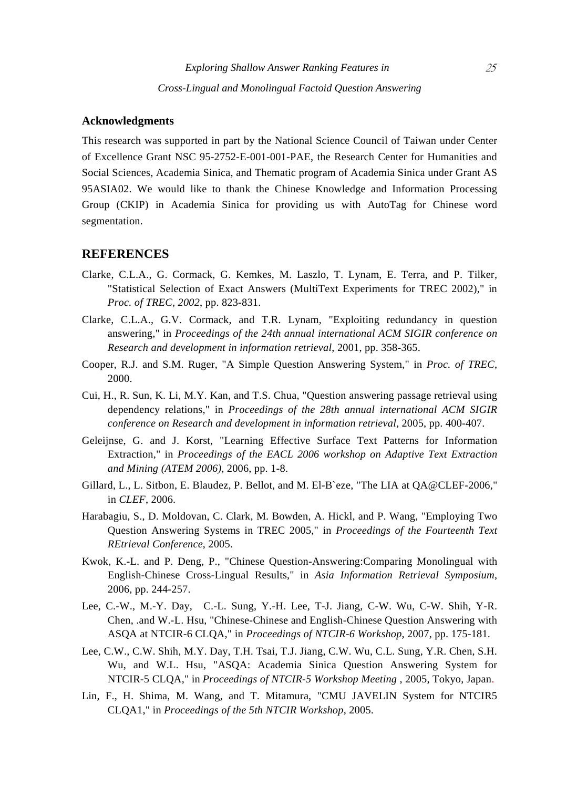## **Acknowledgments**

This research was supported in part by the National Science Council of Taiwan under Center of Excellence Grant NSC 95-2752-E-001-001-PAE, the Research Center for Humanities and Social Sciences, Academia Sinica, and Thematic program of Academia Sinica under Grant AS 95ASIA02. We would like to thank the Chinese Knowledge and Information Processing Group (CKIP) in Academia Sinica for providing us with AutoTag for Chinese word segmentation.

#### **REFERENCES**

- Clarke, C.L.A., G. Cormack, G. Kemkes, M. Laszlo, T. Lynam, E. Terra, and P. Tilker, "Statistical Selection of Exact Answers (MultiText Experiments for TREC 2002)," in *Proc. of TREC, 2002*, pp. 823-831.
- Clarke, C.L.A., G.V. Cormack, and T.R. Lynam, "Exploiting redundancy in question answering," in *Proceedings of the 24th annual international ACM SIGIR conference on Research and development in information retrieval*, 2001, pp. 358-365.
- Cooper, R.J. and S.M. Ruger, "A Simple Question Answering System," in *Proc. of TREC*, 2000.
- Cui, H., R. Sun, K. Li, M.Y. Kan, and T.S. Chua, "Question answering passage retrieval using dependency relations," in *Proceedings of the 28th annual international ACM SIGIR conference on Research and development in information retrieval*, 2005, pp. 400-407.
- Geleijnse, G. and J. Korst, "Learning Effective Surface Text Patterns for Information Extraction," in *Proceedings of the EACL 2006 workshop on Adaptive Text Extraction and Mining (ATEM 2006)*, 2006, pp. 1-8.
- Gillard, L., L. Sitbon, E. Blaudez, P. Bellot, and M. El-B`eze, "The LIA at QA@CLEF-2006," in *CLEF*, 2006.
- Harabagiu, S., D. Moldovan, C. Clark, M. Bowden, A. Hickl, and P. Wang, "Employing Two Question Answering Systems in TREC 2005," in *Proceedings of the Fourteenth Text REtrieval Conference*, 2005.
- Kwok, K.-L. and P. Deng, P., "Chinese Question-Answering:Comparing Monolingual with English-Chinese Cross-Lingual Results," in *Asia Information Retrieval Symposium*, 2006, pp. 244-257.
- Lee, C.-W., M.-Y. Day, C.-L. Sung, Y.-H. Lee, T-J. Jiang, C-W. Wu, C-W. Shih, Y-R. Chen, .and W.-L. Hsu, "Chinese-Chinese and English-Chinese Question Answering with ASQA at NTCIR-6 CLQA," in *Proceedings of NTCIR-6 Workshop*, 2007, pp. 175-181.
- Lee, C.W., C.W. Shih, M.Y. Day, T.H. Tsai, T.J. Jiang, C.W. Wu, C.L. Sung, Y.R. Chen, S.H. Wu, and W.L. Hsu, "ASQA: Academia Sinica Question Answering System for NTCIR-5 CLQA," in *Proceedings of NTCIR-5 Workshop Meeting* , 2005, Tokyo, Japan.
- Lin, F., H. Shima, M. Wang, and T. Mitamura, "CMU JAVELIN System for NTCIR5 CLQA1," in *Proceedings of the 5th NTCIR Workshop*, 2005.